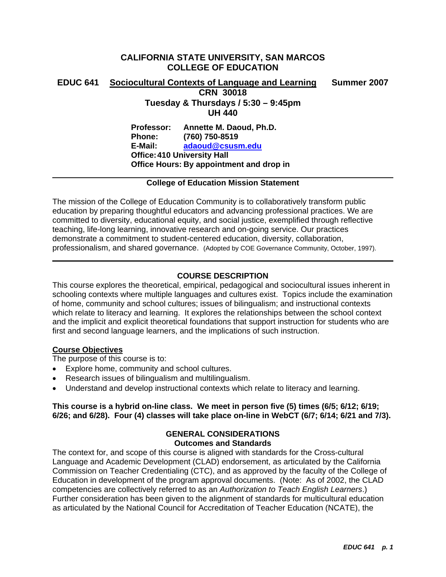# **CALIFORNIA STATE UNIVERSITY, SAN MARCOS COLLEGE OF EDUCATION**

# **EDUC 641 Sociocultural Contexts of Language and Learning Summer 2007 CRN 30018 Tuesday & Thursdays / 5:30 – 9:45pm UH 440 Professor: Annette M. Daoud, Ph.D. Phone: (760) 750-8519 E-Mail: adaoud@csusm.edu Office: 410 University Hall Office Hours: By appointment and drop in**

## **College of Education Mission Statement**

The mission of the College of Education Community is to collaboratively transform public education by preparing thoughtful educators and advancing professional practices. We are committed to diversity, educational equity, and social justice, exemplified through reflective teaching, life-long learning, innovative research and on-going service. Our practices demonstrate a commitment to student-centered education, diversity, collaboration, professionalism, and shared governance. (Adopted by COE Governance Community, October, 1997).

## **COURSE DESCRIPTION**

This course explores the theoretical, empirical, pedagogical and sociocultural issues inherent in schooling contexts where multiple languages and cultures exist. Topics include the examination of home, community and school cultures; issues of bilingualism; and instructional contexts which relate to literacy and learning. It explores the relationships between the school context and the implicit and explicit theoretical foundations that support instruction for students who are first and second language learners, and the implications of such instruction.

## **Course Objectives**

The purpose of this course is to:

- Explore home, community and school cultures.
- Research issues of bilingualism and multilingualism.
- Understand and develop instructional contexts which relate to literacy and learning.

## **This course is a hybrid on-line class. We meet in person five (5) times (6/5; 6/12; 6/19; 6/26; and 6/28). Four (4) classes will take place on-line in WebCT (6/7; 6/14; 6/21 and 7/3).**

## **GENERAL CONSIDERATIONS Outcomes and Standards**

The context for, and scope of this course is aligned with standards for the Cross-cultural Language and Academic Development (CLAD) endorsement, as articulated by the California Commission on Teacher Credentialing (CTC), and as approved by the faculty of the College of Education in development of the program approval documents. (Note: As of 2002, the CLAD competencies are collectively referred to as an *Authorization to Teach English Learners*.) Further consideration has been given to the alignment of standards for multicultural education as articulated by the National Council for Accreditation of Teacher Education (NCATE), the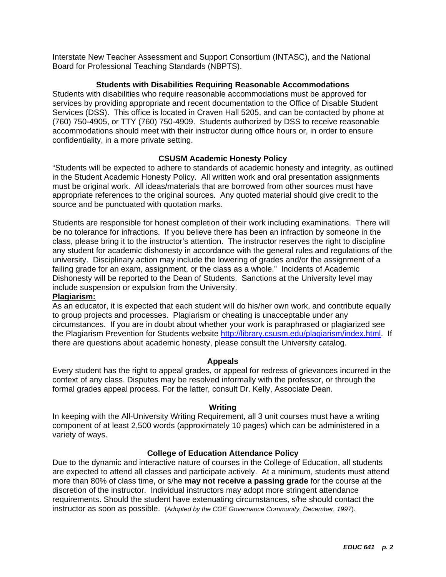Interstate New Teacher Assessment and Support Consortium (INTASC), and the National Board for Professional Teaching Standards (NBPTS).

## **Students with Disabilities Requiring Reasonable Accommodations**

Students with disabilities who require reasonable accommodations must be approved for services by providing appropriate and recent documentation to the Office of Disable Student Services (DSS). This office is located in Craven Hall 5205, and can be contacted by phone at (760) 750-4905, or TTY (760) 750-4909. Students authorized by DSS to receive reasonable accommodations should meet with their instructor during office hours or, in order to ensure confidentiality, in a more private setting.

## **CSUSM Academic Honesty Policy**

"Students will be expected to adhere to standards of academic honesty and integrity, as outlined in the Student Academic Honesty Policy. All written work and oral presentation assignments must be original work. All ideas/materials that are borrowed from other sources must have appropriate references to the original sources. Any quoted material should give credit to the source and be punctuated with quotation marks.

Students are responsible for honest completion of their work including examinations. There will be no tolerance for infractions. If you believe there has been an infraction by someone in the class, please bring it to the instructor's attention. The instructor reserves the right to discipline any student for academic dishonesty in accordance with the general rules and regulations of the university. Disciplinary action may include the lowering of grades and/or the assignment of a failing grade for an exam, assignment, or the class as a whole." Incidents of Academic Dishonesty will be reported to the Dean of Students. Sanctions at the University level may include suspension or expulsion from the University.

## **Plagiarism:**

As an educator, it is expected that each student will do his/her own work, and contribute equally to group projects and processes. Plagiarism or cheating is unacceptable under any circumstances. If you are in doubt about whether your work is paraphrased or plagiarized see the Plagiarism Prevention for Students website http://library.csusm.edu/plagiarism/index.html. If there are questions about academic honesty, please consult the University catalog.

## **Appeals**

Every student has the right to appeal grades, or appeal for redress of grievances incurred in the context of any class. Disputes may be resolved informally with the professor, or through the formal grades appeal process. For the latter, consult Dr. Kelly, Associate Dean.

## **Writing**

In keeping with the All-University Writing Requirement, all 3 unit courses must have a writing component of at least 2,500 words (approximately 10 pages) which can be administered in a variety of ways.

## **College of Education Attendance Policy**

Due to the dynamic and interactive nature of courses in the College of Education, all students are expected to attend all classes and participate actively. At a minimum, students must attend more than 80% of class time, or s/he **may not receive a passing grade** for the course at the discretion of the instructor. Individual instructors may adopt more stringent attendance requirements. Should the student have extenuating circumstances, s/he should contact the instructor as soon as possible. (*Adopted by the COE Governance Community, December, 1997*).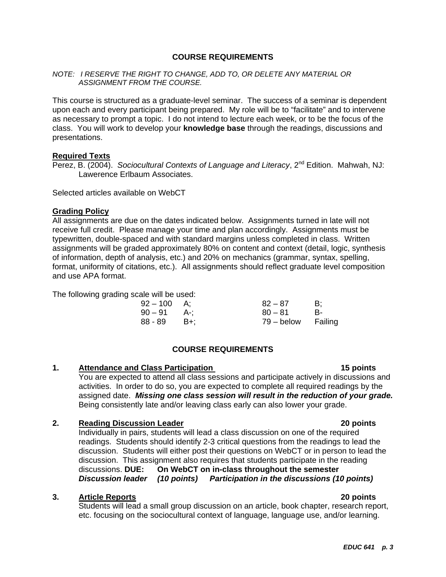## **COURSE REQUIREMENTS**

## *NOTE: I RESERVE THE RIGHT TO CHANGE, ADD TO, OR DELETE ANY MATERIAL OR ASSIGNMENT FROM THE COURSE.*

This course is structured as a graduate-level seminar. The success of a seminar is dependent upon each and every participant being prepared. My role will be to "facilitate" and to intervene as necessary to prompt a topic. I do not intend to lecture each week, or to be the focus of the class. You will work to develop your **knowledge base** through the readings, discussions and presentations.

#### **Required Texts**

Perez, B. (2004). *Sociocultural Contexts of Language and Literacy*, 2<sup>nd</sup> Edition. Mahwah, NJ: Lawerence Erlbaum Associates.

Selected articles available on WebCT

#### **Grading Policy**

All assignments are due on the dates indicated below. Assignments turned in late will not receive full credit. Please manage your time and plan accordingly. Assignments must be typewritten, double-spaced and with standard margins unless completed in class. Written assignments will be graded approximately 80% on content and context (detail, logic, synthesis of information, depth of analysis, etc.) and 20% on mechanics (grammar, syntax, spelling, format, uniformity of citations, etc.). All assignments should reflect graduate level composition and use APA format.

The following grading scale will be used:

| $92 - 100$    | A:    | $82 - 87$          | B: |
|---------------|-------|--------------------|----|
| $90 - 91$ A-; |       | $80 - 81$          | B- |
| 88 - 89       | – B+: | 79 – below Failing |    |

## **COURSE REQUIREMENTS**

## **1. Attendance and Class Participation 15 points**

You are expected to attend all class sessions and participate actively in discussions and activities. In order to do so, you are expected to complete all required readings by the assigned date. *Missing one class session will result in the reduction of your grade.* Being consistently late and/or leaving class early can also lower your grade.

## **2. Reading Discussion Leader 20 points**

Individually in pairs, students will lead a class discussion on one of the required readings. Students should identify 2-3 critical questions from the readings to lead the discussion. Students will either post their questions on WebCT or in person to lead the discussion. This assignment also requires that students participate in the reading discussions. **DUE: On WebCT on in-class throughout the semester**  *Discussion leader (10 points) Participation in the discussions (10 points)* 

#### **3. Article Reports 20 points**

Students will lead a small group discussion on an article, book chapter, research report, etc. focusing on the sociocultural context of language, language use, and/or learning.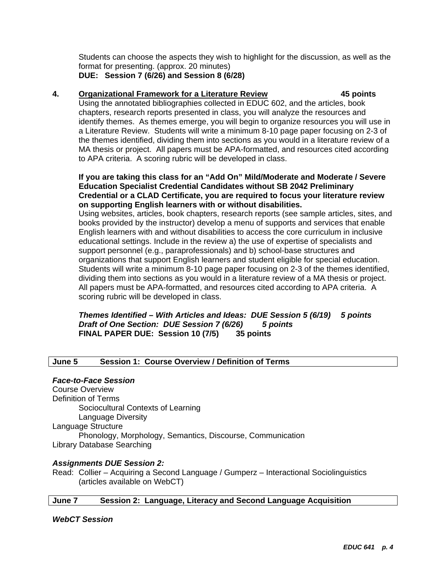Students can choose the aspects they wish to highlight for the discussion, as well as the format for presenting. (approx. 20 minutes)

**DUE: Session 7 (6/26) and Session 8 (6/28)** 

# **4. Organizational Framework for a Literature Review 45 points**

Using the annotated bibliographies collected in EDUC 602, and the articles, book chapters, research reports presented in class, you will analyze the resources and identify themes. As themes emerge, you will begin to organize resources you will use in a Literature Review. Students will write a minimum 8-10 page paper focusing on 2-3 of the themes identified, dividing them into sections as you would in a literature review of a MA thesis or project. All papers must be APA-formatted, and resources cited according to APA criteria. A scoring rubric will be developed in class.

## **If you are taking this class for an "Add On" Mild/Moderate and Moderate / Severe Education Specialist Credential Candidates without SB 2042 Preliminary Credential or a CLAD Certificate, you are required to focus your literature review on supporting English learners with or without disabilities.**

Using websites, articles, book chapters, research reports (see sample articles, sites, and books provided by the instructor) develop a menu of supports and services that enable English learners with and without disabilities to access the core curriculum in inclusive educational settings. Include in the review a) the use of expertise of specialists and support personnel (e.g., paraprofessionals) and b) school-base structures and organizations that support English learners and student eligible for special education. Students will write a minimum 8-10 page paper focusing on 2-3 of the themes identified, dividing them into sections as you would in a literature review of a MA thesis or project. All papers must be APA-formatted, and resources cited according to APA criteria. A scoring rubric will be developed in class.

## *Themes Identified – With Articles and Ideas: DUE Session 5 (6/19) 5 points Draft of One Section: DUE Session 7 (6/26) 5 points*  **FINAL PAPER DUE: Session 10 (7/5) 35 points**

## **June 5 Session 1: Course Overview / Definition of Terms**

## *Face-to-Face Session*

Course Overview Definition of Terms Sociocultural Contexts of Learning Language Diversity Language Structure Phonology, Morphology, Semantics, Discourse, Communication Library Database Searching

## *Assignments DUE Session 2:*

Read: Collier – Acquiring a Second Language / Gumperz – Interactional Sociolinguistics (articles available on WebCT)

## **June 7 Session 2: Language, Literacy and Second Language Acquisition**

*WebCT Session*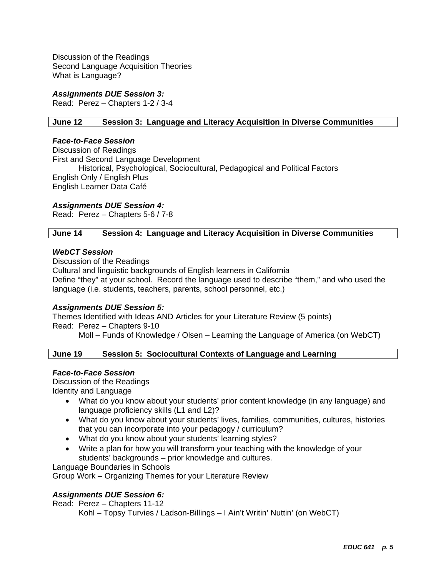Discussion of the Readings Second Language Acquisition Theories What is Language?

## *Assignments DUE Session 3:*

Read: Perez – Chapters 1-2 / 3-4

## **June 12 Session 3: Language and Literacy Acquisition in Diverse Communities**

#### *Face-to-Face Session*

Discussion of Readings First and Second Language Development Historical, Psychological, Sociocultural, Pedagogical and Political Factors English Only / English Plus English Learner Data Café

## *Assignments DUE Session 4:*

Read: Perez – Chapters 5-6 / 7-8

## **June 14 Session 4: Language and Literacy Acquisition in Diverse Communities**

#### *WebCT Session*

Discussion of the Readings Cultural and linguistic backgrounds of English learners in California Define "they" at your school. Record the language used to describe "them," and who used the language (i.e. students, teachers, parents, school personnel, etc.)

## *Assignments DUE Session 5:*

Themes Identified with Ideas AND Articles for your Literature Review (5 points) Read: Perez – Chapters 9-10

Moll – Funds of Knowledge / Olsen – Learning the Language of America (on WebCT)

## **June 19 Session 5: Sociocultural Contexts of Language and Learning**

## *Face-to-Face Session*

Discussion of the Readings

Identity and Language

- What do you know about your students' prior content knowledge (in any language) and language proficiency skills (L1 and L2)?
- What do you know about your students' lives, families, communities, cultures, histories that you can incorporate into your pedagogy / curriculum?
- What do you know about your students' learning styles?
- Write a plan for how you will transform your teaching with the knowledge of your students' backgrounds – prior knowledge and cultures.

Language Boundaries in Schools

Group Work – Organizing Themes for your Literature Review

## *Assignments DUE Session 6:*

Read: Perez – Chapters 11-12 Kohl – Topsy Turvies / Ladson-Billings – I Ain't Writin' Nuttin' (on WebCT)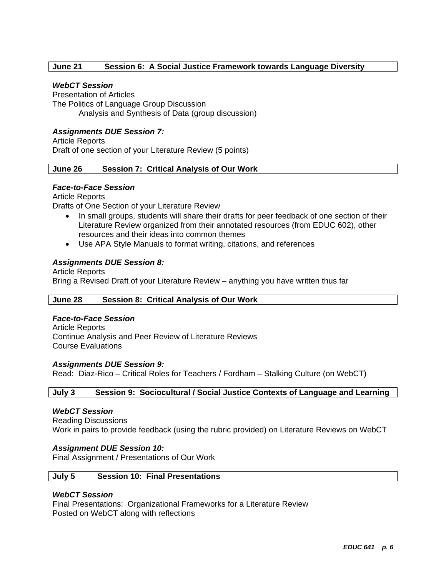## **June 21 Session 6: A Social Justice Framework towards Language Diversity**

## *WebCT Session*

Presentation of Articles The Politics of Language Group Discussion Analysis and Synthesis of Data (group discussion)

## *Assignments DUE Session 7:*

Article Reports Draft of one section of your Literature Review (5 points)

# **June 26 Session 7: Critical Analysis of Our Work**

## *Face-to-Face Session*

Article Reports Drafts of One Section of your Literature Review

- In small groups, students will share their drafts for peer feedback of one section of their Literature Review organized from their annotated resources (from EDUC 602), other resources and their ideas into common themes
- Use APA Style Manuals to format writing, citations, and references

## *Assignments DUE Session 8:*

Article Reports Bring a Revised Draft of your Literature Review – anything you have written thus far

#### **June 28 Session 8: Critical Analysis of Our Work**

## *Face-to-Face Session*

Article Reports Continue Analysis and Peer Review of Literature Reviews Course Evaluations

#### *Assignments DUE Session 9:*

Read: Diaz-Rico – Critical Roles for Teachers / Fordham – Stalking Culture (on WebCT)

## **July 3 Session 9: Sociocultural / Social Justice Contexts of Language and Learning**

#### *WebCT Session*

Reading Discussions Work in pairs to provide feedback (using the rubric provided) on Literature Reviews on WebCT

#### *Assignment DUE Session 10:*

Final Assignment / Presentations of Our Work

#### **July 5 Session 10: Final Presentations**

#### *WebCT Session*

Final Presentations: Organizational Frameworks for a Literature Review Posted on WebCT along with reflections